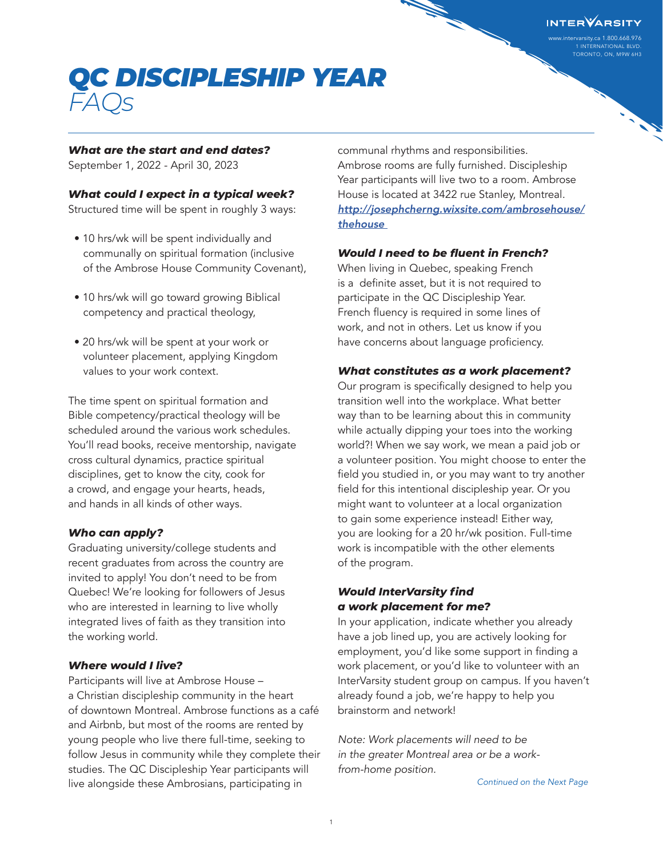www.intervarsity.ca 1.800.668.976 1 INTERNATIONAL BLVD. TORONTO, ON, M9W 6H3

## *QC DISCIPLESHIP YEAR FAQs*

### *What are the start and end dates?*

September 1, 2022 - April 30, 2023

### *What could I expect in a typical week?*

Structured time will be spent in roughly 3 ways:

- 10 hrs/wk will be spent individually and communally on spiritual formation (inclusive of the Ambrose House Community Covenant),
- 10 hrs/wk will go toward growing Biblical competency and practical theology,
- 20 hrs/wk will be spent at your work or volunteer placement, applying Kingdom values to your work context.

The time spent on spiritual formation and Bible competency/practical theology will be scheduled around the various work schedules. You'll read books, receive mentorship, navigate cross cultural dynamics, practice spiritual disciplines, get to know the city, cook for a crowd, and engage your hearts, heads, and hands in all kinds of other ways.

### *Who can apply?*

Graduating university/college students and recent graduates from across the country are invited to apply! You don't need to be from Quebec! We're looking for followers of Jesus who are interested in learning to live wholly integrated lives of faith as they transition into the working world.

### *Where would I live?*

Participants will live at Ambrose House – a Christian discipleship community in the heart of downtown Montreal. Ambrose functions as a café and Airbnb, but most of the rooms are rented by young people who live there full-time, seeking to follow Jesus in community while they complete their studies. The QC Discipleship Year participants will live alongside these Ambrosians, participating in

communal rhythms and responsibilities. Ambrose rooms are fully furnished. Discipleship Year participants will live two to a room. Ambrose House is located at 3422 rue Stanley, Montreal. *[http://josephcherng.wixsite.com/ambrosehouse/](http://josephcherng.wixsite.com/ambrosehouse/thehouse ) [thehouse](http://josephcherng.wixsite.com/ambrosehouse/thehouse )* 

### *Would I need to be fluent in French?*

When living in Quebec, speaking French is a definite asset, but it is not required to participate in the QC Discipleship Year. French fluency is required in some lines of work, and not in others. Let us know if you have concerns about language proficiency.

### *What constitutes as a work placement?*

Our program is specifically designed to help you transition well into the workplace. What better way than to be learning about this in community while actually dipping your toes into the working world?! When we say work, we mean a paid job or a volunteer position. You might choose to enter the field you studied in, or you may want to try another field for this intentional discipleship year. Or you might want to volunteer at a local organization to gain some experience instead! Either way, you are looking for a 20 hr/wk position. Full-time work is incompatible with the other elements of the program.

### *Would InterVarsity find a work placement for me?*

In your application, indicate whether you already have a job lined up, you are actively looking for employment, you'd like some support in finding a work placement, or you'd like to volunteer with an InterVarsity student group on campus. If you haven't already found a job, we're happy to help you brainstorm and network!

*Note: Work placements will need to be in the greater Montreal area or be a workfrom-home position.*

*Continued on the Next Page*